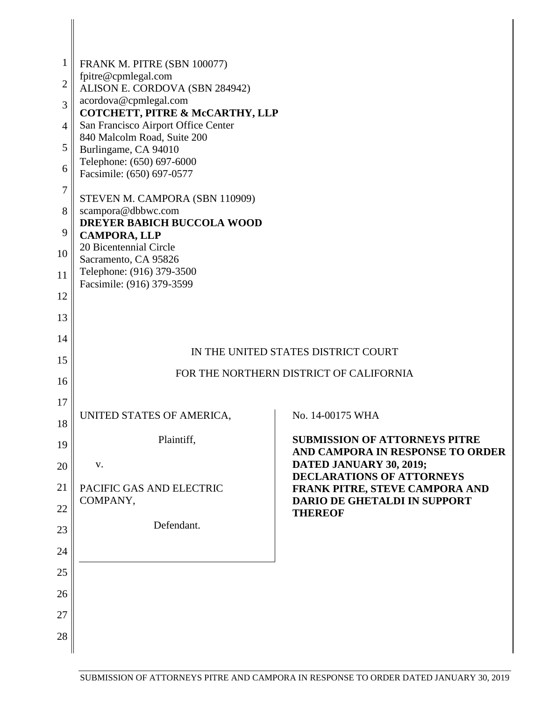| $\mathbf{1}$   | FRANK M. PITRE (SBN 100077)                              |                                                                          |
|----------------|----------------------------------------------------------|--------------------------------------------------------------------------|
| $\overline{2}$ | fpitre@cpmlegal.com<br>ALISON E. CORDOVA (SBN 284942)    |                                                                          |
| 3              | acordova@cpmlegal.com<br>COTCHETT, PITRE & McCARTHY, LLP |                                                                          |
| $\overline{4}$ | San Francisco Airport Office Center                      |                                                                          |
| 5              | 840 Malcolm Road, Suite 200<br>Burlingame, CA 94010      |                                                                          |
| 6              | Telephone: (650) 697-6000                                |                                                                          |
| $\tau$         | Facsimile: (650) 697-0577                                |                                                                          |
|                | STEVEN M. CAMPORA (SBN 110909)                           |                                                                          |
| 8              | scampora@dbbwc.com<br><b>DREYER BABICH BUCCOLA WOOD</b>  |                                                                          |
| 9              | <b>CAMPORA, LLP</b>                                      |                                                                          |
| 10             | 20 Bicentennial Circle<br>Sacramento, CA 95826           |                                                                          |
| 11             | Telephone: (916) 379-3500<br>Facsimile: (916) 379-3599   |                                                                          |
| 12             |                                                          |                                                                          |
| 13             |                                                          |                                                                          |
| 14             |                                                          |                                                                          |
| 15             |                                                          | IN THE UNITED STATES DISTRICT COURT                                      |
| 16             |                                                          | FOR THE NORTHERN DISTRICT OF CALIFORNIA                                  |
| 17             |                                                          |                                                                          |
| 18             | UNITED STATES OF AMERICA,                                | No. 14-00175 WHA                                                         |
| 19             | Plaintiff,                                               | <b>SUBMISSION OF ATTORNEYS PITRE</b><br>AND CAMPORA IN RESPONSE TO ORDER |
| 20             | V.                                                       | DATED JANUARY 30, 2019;<br><b>DECLARATIONS OF ATTORNEYS</b>              |
| 21             | PACIFIC GAS AND ELECTRIC                                 | FRANK PITRE, STEVE CAMPORA AND                                           |
| 22             | COMPANY,                                                 | DARIO DE GHETALDI IN SUPPORT<br><b>THEREOF</b>                           |
| 23             | Defendant.                                               |                                                                          |
| 24             |                                                          |                                                                          |
| 25             |                                                          |                                                                          |
| 26             |                                                          |                                                                          |
|                |                                                          |                                                                          |
| 27             |                                                          |                                                                          |
| 28             |                                                          |                                                                          |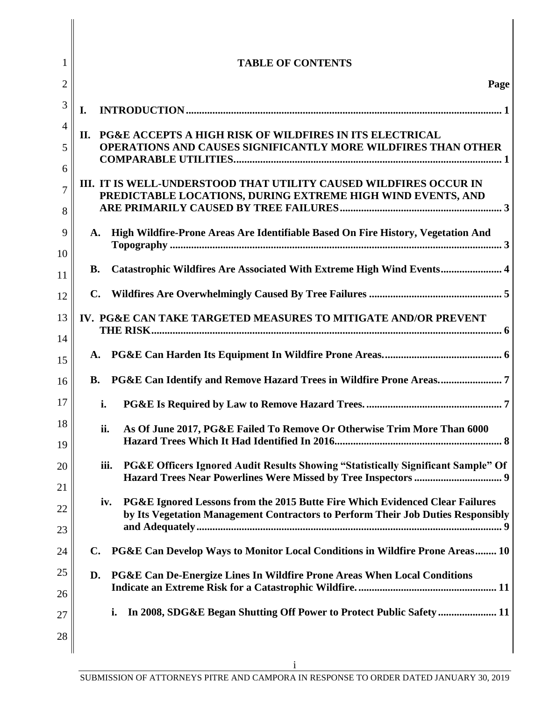| 1                   | <b>TABLE OF CONTENTS</b>                                                                                                                                                |
|---------------------|-------------------------------------------------------------------------------------------------------------------------------------------------------------------------|
| $\overline{2}$      | Page                                                                                                                                                                    |
| 3                   | I.                                                                                                                                                                      |
| 4                   | <b>PG&amp;E ACCEPTS A HIGH RISK OF WILDFIRES IN ITS ELECTRICAL</b><br>П.                                                                                                |
| 5                   | <b>OPERATIONS AND CAUSES SIGNIFICANTLY MORE WILDFIRES THAN OTHER</b>                                                                                                    |
| 6                   | III. IT IS WELL-UNDERSTOOD THAT UTILITY CAUSED WILDFIRES OCCUR IN                                                                                                       |
| $\overline{7}$<br>8 | PREDICTABLE LOCATIONS, DURING EXTREME HIGH WIND EVENTS, AND                                                                                                             |
| 9                   | High Wildfire-Prone Areas Are Identifiable Based On Fire History, Vegetation And<br>A.                                                                                  |
| 10                  | Catastrophic Wildfires Are Associated With Extreme High Wind Events 4<br><b>B.</b>                                                                                      |
| 11                  | $\mathbf{C}$ .                                                                                                                                                          |
| 12                  |                                                                                                                                                                         |
| 13<br>14            | IV. PG&E CAN TAKE TARGETED MEASURES TO MITIGATE AND/OR PREVENT                                                                                                          |
| 15                  | A.                                                                                                                                                                      |
| 16                  | <b>B.</b>                                                                                                                                                               |
| 17                  | i.                                                                                                                                                                      |
| 18<br>19            | As Of June 2017, PG&E Failed To Remove Or Otherwise Trim More Than 6000<br>ii.                                                                                          |
| 20                  | PG&E Officers Ignored Audit Results Showing "Statistically Significant Sample" Of<br>iii.                                                                               |
| 21                  |                                                                                                                                                                         |
| 22                  | PG&E Ignored Lessons from the 2015 Butte Fire Which Evidenced Clear Failures<br>iv.<br>by Its Vegetation Management Contractors to Perform Their Job Duties Responsibly |
| 23                  |                                                                                                                                                                         |
| 24                  | PG&E Can Develop Ways to Monitor Local Conditions in Wildfire Prone Areas 10<br>$\mathbf{C}$ .                                                                          |
| 25                  | PG&E Can De-Energize Lines In Wildfire Prone Areas When Local Conditions<br>D.                                                                                          |
| 26                  | In 2008, SDG&E Began Shutting Off Power to Protect Public Safety  11<br>i.                                                                                              |
| 27<br>28            |                                                                                                                                                                         |
|                     |                                                                                                                                                                         |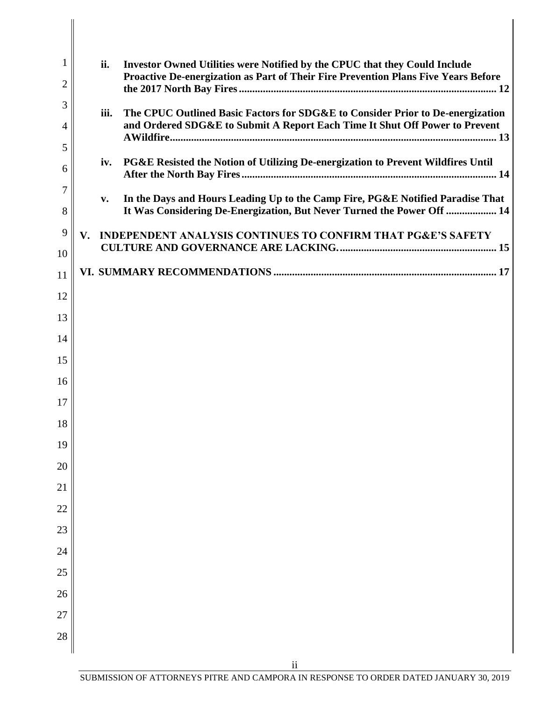| $\mathbf{1}$   | ii.  | Investor Owned Utilities were Notified by the CPUC that they Could Include                                                                               |
|----------------|------|----------------------------------------------------------------------------------------------------------------------------------------------------------|
| 2              |      | Proactive De-energization as Part of Their Fire Prevention Plans Five Years Before                                                                       |
| 3              | iii. | The CPUC Outlined Basic Factors for SDG&E to Consider Prior to De-energization                                                                           |
| $\overline{4}$ |      | and Ordered SDG&E to Submit A Report Each Time It Shut Off Power to Prevent                                                                              |
| 5              | iv.  | PG&E Resisted the Notion of Utilizing De-energization to Prevent Wildfires Until                                                                         |
| 6<br>7         |      |                                                                                                                                                          |
| 8              | v.   | In the Days and Hours Leading Up to the Camp Fire, PG&E Notified Paradise That<br>It Was Considering De-Energization, But Never Turned the Power Off  14 |
| 9              | V.   | INDEPENDENT ANALYSIS CONTINUES TO CONFIRM THAT PG&E'S SAFETY                                                                                             |
| 10             |      |                                                                                                                                                          |
| 11             |      |                                                                                                                                                          |
| 12             |      |                                                                                                                                                          |
| 13             |      |                                                                                                                                                          |
| 14<br>15       |      |                                                                                                                                                          |
| 16             |      |                                                                                                                                                          |
| 17             |      |                                                                                                                                                          |
| 18             |      |                                                                                                                                                          |
| 19             |      |                                                                                                                                                          |
| 20             |      |                                                                                                                                                          |
| 21             |      |                                                                                                                                                          |
| 22             |      |                                                                                                                                                          |
| 23             |      |                                                                                                                                                          |
| 24             |      |                                                                                                                                                          |
| 25             |      |                                                                                                                                                          |
| 26             |      |                                                                                                                                                          |
| 27             |      |                                                                                                                                                          |
| 28             |      |                                                                                                                                                          |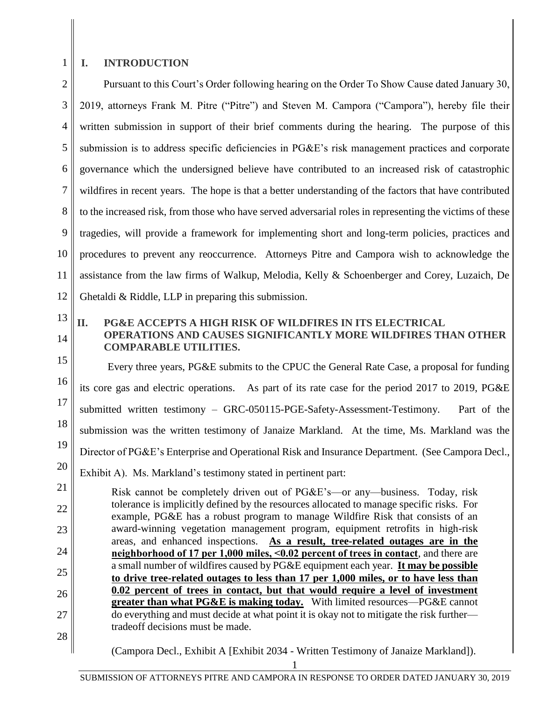# **I. INTRODUCTION**

2 3 4 5 6 7 8 9 10 11 12 Pursuant to this Court's Order following hearing on the Order To Show Cause dated January 30, 2019, attorneys Frank M. Pitre ("Pitre") and Steven M. Campora ("Campora"), hereby file their written submission in support of their brief comments during the hearing. The purpose of this submission is to address specific deficiencies in PG&E's risk management practices and corporate governance which the undersigned believe have contributed to an increased risk of catastrophic wildfires in recent years. The hope is that a better understanding of the factors that have contributed to the increased risk, from those who have served adversarial roles in representing the victims of these tragedies, will provide a framework for implementing short and long-term policies, practices and procedures to prevent any reoccurrence. Attorneys Pitre and Campora wish to acknowledge the assistance from the law firms of Walkup, Melodia, Kelly & Schoenberger and Corey, Luzaich, De Ghetaldi & Riddle, LLP in preparing this submission.

13 14

26

27

28

1

### **II. PG&E ACCEPTS A HIGH RISK OF WILDFIRES IN ITS ELECTRICAL OPERATIONS AND CAUSES SIGNIFICANTLY MORE WILDFIRES THAN OTHER COMPARABLE UTILITIES.**

15 16 17 18 19 20 21 22 23 24 25 Every three years, PG&E submits to the CPUC the General Rate Case, a proposal for funding its core gas and electric operations. As part of its rate case for the period 2017 to 2019, PG&E submitted written testimony – GRC-050115-PGE-Safety-Assessment-Testimony. Part of the submission was the written testimony of Janaize Markland. At the time, Ms. Markland was the Director of PG&E's Enterprise and Operational Risk and Insurance Department. (See Campora Decl., Exhibit A). Ms. Markland's testimony stated in pertinent part: Risk cannot be completely driven out of PG&E's—or any—business. Today, risk tolerance is implicitly defined by the resources allocated to manage specific risks. For example, PG&E has a robust program to manage Wildfire Risk that consists of an award-winning vegetation management program, equipment retrofits in high-risk areas, and enhanced inspections. **As a result, tree-related outages are in the neighborhood of 17 per 1,000 miles, ˂0.02 percent of trees in contact**, and there are a small number of wildfires caused by PG&E equipment each year. **It may be possible** 

**to drive tree-related outages to less than 17 per 1,000 miles, or to have less than 0.02 percent of trees in contact, but that would require a level of investment greater than what PG&E is making today.** With limited resources—PG&E cannot do everything and must decide at what point it is okay not to mitigate the risk further tradeoff decisions must be made.

(Campora Decl., Exhibit A [Exhibit 2034 - Written Testimony of Janaize Markland]).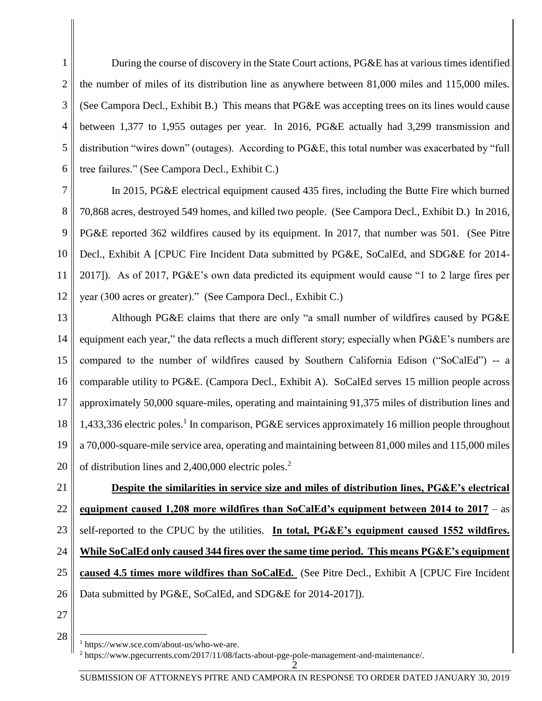During the course of discovery in the State Court actions, PG&E has at various times identified the number of miles of its distribution line as anywhere between 81,000 miles and 115,000 miles. (See Campora Decl., Exhibit B.) This means that PG&E was accepting trees on its lines would cause between 1,377 to 1,955 outages per year. In 2016, PG&E actually had 3,299 transmission and distribution "wires down" (outages). According to PG&E, this total number was exacerbated by "full tree failures." (See Campora Decl., Exhibit C.)

7 8 9 10 11 12 In 2015, PG&E electrical equipment caused 435 fires, including the Butte Fire which burned 70,868 acres, destroyed 549 homes, and killed two people. (See Campora Decl., Exhibit D.) In 2016, PG&E reported 362 wildfires caused by its equipment. In 2017, that number was 501. (See Pitre Decl., Exhibit A [CPUC Fire Incident Data submitted by PG&E, SoCalEd, and SDG&E for 2014- 2017]). As of 2017, PG&E's own data predicted its equipment would cause "1 to 2 large fires per year (300 acres or greater)." (See Campora Decl., Exhibit C.)

13 14 15 16 17 18 19 20 Although PG&E claims that there are only "a small number of wildfires caused by PG&E equipment each year," the data reflects a much different story; especially when PG&E's numbers are compared to the number of wildfires caused by Southern California Edison ("SoCalEd") -- a comparable utility to PG&E. (Campora Decl., Exhibit A). SoCalEd serves 15 million people across approximately 50,000 square-miles, operating and maintaining 91,375 miles of distribution lines and 1,433,336 electric poles.<sup>1</sup> In comparison, PG&E services approximately 16 million people throughout a 70,000-square-mile service area, operating and maintaining between 81,000 miles and 115,000 miles of distribution lines and  $2,400,000$  electric poles.<sup>2</sup>

21 22 23 24 25 26 **Despite the similarities in service size and miles of distribution lines, PG&E's electrical equipment caused 1,208 more wildfires than SoCalEd's equipment between 2014 to 2017** – as self-reported to the CPUC by the utilities. **In total, PG&E's equipment caused 1552 wildfires. While SoCalEd only caused 344 fires over the same time period. This means PG&E's equipment caused 4.5 times more wildfires than SoCalEd.** (See Pitre Decl., Exhibit A [CPUC Fire Incident Data submitted by PG&E, SoCalEd, and SDG&E for 2014-2017]).

27 28

 $\overline{a}$ 

1

2

3

4

5

<sup>1</sup> https://www.sce.com/about-us/who-we-are.

 $\bar{2}$ <sup>2</sup> https://www.pgecurrents.com/2017/11/08/facts-about-pge-pole-management-and-maintenance/.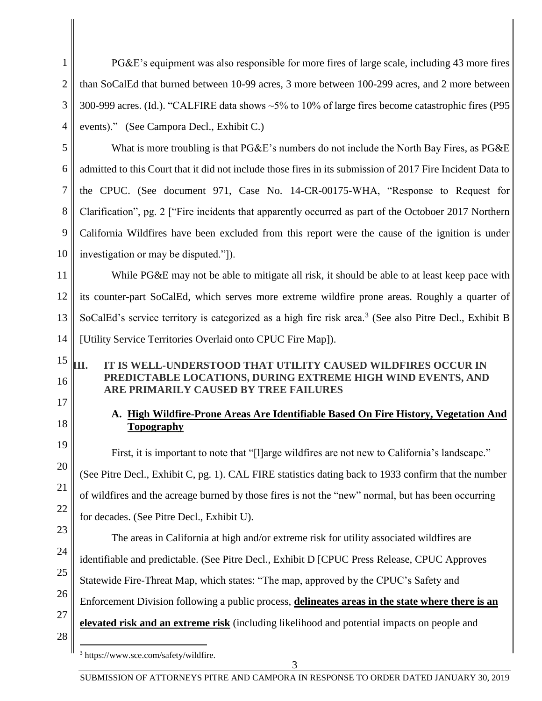1 2 3 4 5 6 7 8 9 10 PG&E's equipment was also responsible for more fires of large scale, including 43 more fires than SoCalEd that burned between 10-99 acres, 3 more between 100-299 acres, and 2 more between 300-999 acres. (Id.). "CALFIRE data shows ~5% to 10% of large fires become catastrophic fires (P95 events)."(See Campora Decl., Exhibit C.) What is more troubling is that PG&E's numbers do not include the North Bay Fires, as PG&E admitted to this Court that it did not include those fires in its submission of 2017 Fire Incident Data to the CPUC. (See document 971, Case No. 14-CR-00175-WHA, "Response to Request for Clarification", pg. 2 ["Fire incidents that apparently occurred as part of the Octoboer 2017 Northern California Wildfires have been excluded from this report were the cause of the ignition is under investigation or may be disputed."]).

11 12 13 14 While PG&E may not be able to mitigate all risk, it should be able to at least keep pace with its counter-part SoCalEd, which serves more extreme wildfire prone areas. Roughly a quarter of SoCalEd's service territory is categorized as a high fire risk area.<sup>3</sup> (See also Pitre Decl., Exhibit B [Utility Service Territories Overlaid onto CPUC Fire Map]).

#### 15 16 **III. IT IS WELL-UNDERSTOOD THAT UTILITY CAUSED WILDFIRES OCCUR IN PREDICTABLE LOCATIONS, DURING EXTREME HIGH WIND EVENTS, AND ARE PRIMARILY CAUSED BY TREE FAILURES**

# **A. High Wildfire-Prone Areas Are Identifiable Based On Fire History, Vegetation And Topography**

First, it is important to note that "[1]arge wildfires are not new to California's landscape." (See Pitre Decl., Exhibit C, pg. 1). CAL FIRE statistics dating back to 1933 confirm that the number of wildfires and the acreage burned by those fires is not the "new" normal, but has been occurring for decades. (See Pitre Decl., Exhibit U).

The areas in California at high and/or extreme risk for utility associated wildfires are identifiable and predictable. (See Pitre Decl., Exhibit D [CPUC Press Release, CPUC Approves Statewide Fire-Threat Map, which states: "The map, approved by the CPUC's Safety and Enforcement Division following a public process, **delineates areas in the state where there is an elevated risk and an extreme risk** (including likelihood and potential impacts on people and

17

18

19

20

21

22

23

24

25

26

27

28

 $\overline{a}$ 

<sup>3</sup> https://www.sce.com/safety/wildfire.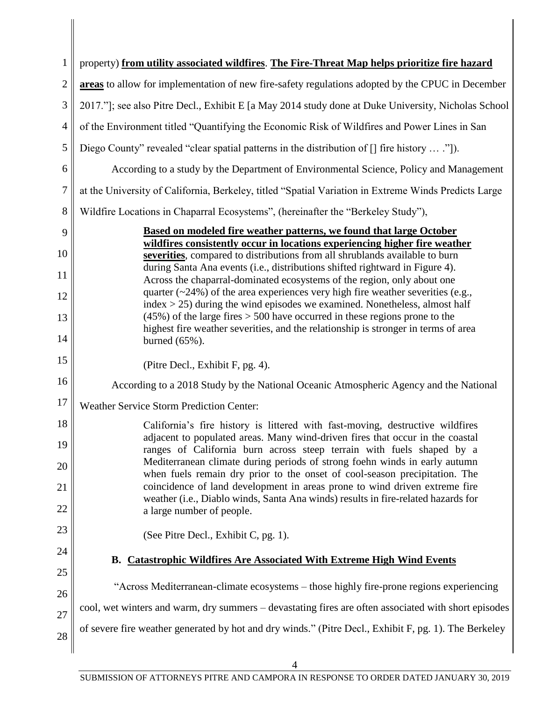| $\mathbf{1}$   | property) from utility associated wildfires. The Fire-Threat Map helps prioritize fire hazard                                                                           |
|----------------|-------------------------------------------------------------------------------------------------------------------------------------------------------------------------|
| $\overline{2}$ | areas to allow for implementation of new fire-safety regulations adopted by the CPUC in December                                                                        |
| 3              | 2017."]; see also Pitre Decl., Exhibit E [a May 2014 study done at Duke University, Nicholas School                                                                     |
| $\overline{4}$ | of the Environment titled "Quantifying the Economic Risk of Wildfires and Power Lines in San                                                                            |
| 5              | Diego County" revealed "clear spatial patterns in the distribution of [] fire history  ."]).                                                                            |
| 6              | According to a study by the Department of Environmental Science, Policy and Management                                                                                  |
| $\overline{7}$ | at the University of California, Berkeley, titled "Spatial Variation in Extreme Winds Predicts Large                                                                    |
| 8              | Wildfire Locations in Chaparral Ecosystems", (hereinafter the "Berkeley Study"),                                                                                        |
| 9              | Based on modeled fire weather patterns, we found that large October                                                                                                     |
| 10             | wildfires consistently occur in locations experiencing higher fire weather                                                                                              |
|                | severities, compared to distributions from all shrublands available to burn<br>during Santa Ana events (i.e., distributions shifted rightward in Figure 4).             |
| 11             | Across the chaparral-dominated ecosystems of the region, only about one                                                                                                 |
| 12             | quarter $(\sim 24\%)$ of the area experiences very high fire weather severities (e.g.,<br>$index > 25$ ) during the wind episodes we examined. Nonetheless, almost half |
| 13             | $(45%)$ of the large fires $> 500$ have occurred in these regions prone to the<br>highest fire weather severities, and the relationship is stronger in terms of area    |
| 14             | burned (65%).                                                                                                                                                           |
| 15             | (Pitre Decl., Exhibit F, pg. 4).                                                                                                                                        |
| 16             | According to a 2018 Study by the National Oceanic Atmospheric Agency and the National                                                                                   |
| 17             | <b>Weather Service Storm Prediction Center:</b>                                                                                                                         |
| 18             | California's fire history is littered with fast-moving, destructive wildfires<br>adjacent to populated areas. Many wind-driven fires that occur in the coastal          |
| 19             | ranges of California burn across steep terrain with fuels shaped by a                                                                                                   |
| 20             | Mediterranean climate during periods of strong foehn winds in early autumn<br>when fuels remain dry prior to the onset of cool-season precipitation. The                |
| 21             | coincidence of land development in areas prone to wind driven extreme fire<br>weather (i.e., Diablo winds, Santa Ana winds) results in fire-related hazards for         |
| 22             | a large number of people.                                                                                                                                               |
| 23             | (See Pitre Decl., Exhibit C, pg. 1).                                                                                                                                    |
| 24             | <b>B.</b> Catastrophic Wildfires Are Associated With Extreme High Wind Events                                                                                           |
| 25             |                                                                                                                                                                         |
| 26             | "Across Mediterranean-climate ecosystems – those highly fire-prone regions experiencing                                                                                 |
| 27             | cool, wet winters and warm, dry summers – devastating fires are often associated with short episodes                                                                    |
| 28             | of severe fire weather generated by hot and dry winds." (Pitre Decl., Exhibit F, pg. 1). The Berkeley                                                                   |
|                |                                                                                                                                                                         |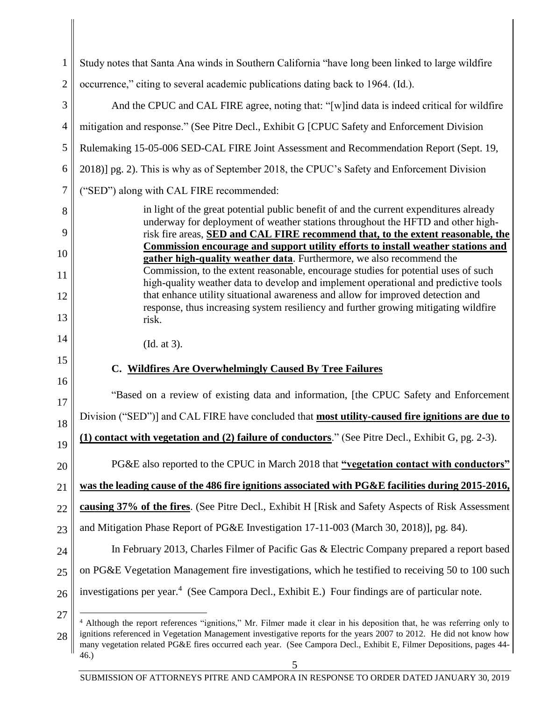| 1              | Study notes that Santa Ana winds in Southern California "have long been linked to large wildfire                                                                                                                                                  |
|----------------|---------------------------------------------------------------------------------------------------------------------------------------------------------------------------------------------------------------------------------------------------|
| $\overline{2}$ | occurrence," citing to several academic publications dating back to 1964. (Id.).                                                                                                                                                                  |
| 3              | And the CPUC and CAL FIRE agree, noting that: "[w]ind data is indeed critical for wildfire                                                                                                                                                        |
| 4              | mitigation and response." (See Pitre Decl., Exhibit G [CPUC Safety and Enforcement Division                                                                                                                                                       |
| 5              | Rulemaking 15-05-006 SED-CAL FIRE Joint Assessment and Recommendation Report (Sept. 19,                                                                                                                                                           |
| 6              | 2018)] pg. 2). This is why as of September 2018, the CPUC's Safety and Enforcement Division                                                                                                                                                       |
| 7              | ("SED") along with CAL FIRE recommended:                                                                                                                                                                                                          |
| 8              | in light of the great potential public benefit of and the current expenditures already<br>underway for deployment of weather stations throughout the HFTD and other high-                                                                         |
| 9              | risk fire areas, SED and CAL FIRE recommend that, to the extent reasonable, the<br>Commission encourage and support utility efforts to install weather stations and                                                                               |
| 10<br>11       | gather high-quality weather data. Furthermore, we also recommend the<br>Commission, to the extent reasonable, encourage studies for potential uses of such                                                                                        |
| 12             | high-quality weather data to develop and implement operational and predictive tools<br>that enhance utility situational awareness and allow for improved detection and                                                                            |
| 13             | response, thus increasing system resiliency and further growing mitigating wildfire<br>risk.                                                                                                                                                      |
| 14             |                                                                                                                                                                                                                                                   |
| 15             | (Id. at 3).                                                                                                                                                                                                                                       |
| 16             | C. Wildfires Are Overwhelmingly Caused By Tree Failures                                                                                                                                                                                           |
| 17             | "Based on a review of existing data and information, [the CPUC Safety and Enforcement                                                                                                                                                             |
| 18             | Division ("SED")] and CAL FIRE have concluded that most utility-caused fire ignitions are due to                                                                                                                                                  |
| 19             | (1) contact with vegetation and (2) failure of conductors." (See Pitre Decl., Exhibit G, pg. 2-3).                                                                                                                                                |
| 20             | PG&E also reported to the CPUC in March 2018 that "vegetation contact with conductors"                                                                                                                                                            |
| 21             | was the leading cause of the 486 fire ignitions associated with PG&E facilities during 2015-2016,                                                                                                                                                 |
| 22             | causing 37% of the fires. (See Pitre Decl., Exhibit H [Risk and Safety Aspects of Risk Assessment                                                                                                                                                 |
| 23             | and Mitigation Phase Report of PG&E Investigation 17-11-003 (March 30, 2018)], pg. 84).                                                                                                                                                           |
| 24             | In February 2013, Charles Filmer of Pacific Gas & Electric Company prepared a report based                                                                                                                                                        |
| 25             | on PG&E Vegetation Management fire investigations, which he testified to receiving 50 to 100 such                                                                                                                                                 |
| 26             | investigations per year. <sup>4</sup> (See Campora Decl., Exhibit E.) Four findings are of particular note.                                                                                                                                       |
| 27<br>28       | Although the report references "ignitions," Mr. Filmer made it clear in his deposition that, he was referring only to<br>4<br>ignitions referenced in Vegetation Management investigative reports for the years 2007 to 2012. He did not know how |

46.)

many vegetation related PG&E fires occurred each year. (See Campora Decl., Exhibit E, Filmer Depositions, pages 44-

SUBMISSION OF ATTORNEYS PITRE AND CAMPORA IN RESPONSE TO ORDER DATED JANUARY 30, 2019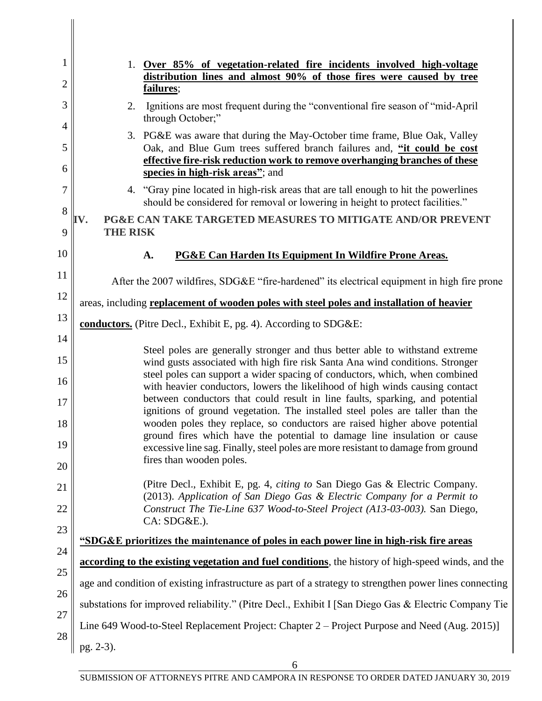| 1        | 1. Over 85% of vegetation-related fire incidents involved high-voltage<br>distribution lines and almost 90% of those fires were caused by tree                           |
|----------|--------------------------------------------------------------------------------------------------------------------------------------------------------------------------|
| 2        | failures;                                                                                                                                                                |
| 3        | Ignitions are most frequent during the "conventional fire season of "mid-April"<br>2.<br>through October;"                                                               |
| 4<br>5   | 3. PG&E was aware that during the May-October time frame, Blue Oak, Valley<br>Oak, and Blue Gum trees suffered branch failures and, "it could be cost                    |
| 6        | effective fire-risk reduction work to remove overhanging branches of these<br>species in high-risk areas"; and                                                           |
| 7        | "Gray pine located in high-risk areas that are tall enough to hit the powerlines<br>4.<br>should be considered for removal or lowering in height to protect facilities." |
| 8<br>9   | <b>PG&amp;E CAN TAKE TARGETED MEASURES TO MITIGATE AND/OR PREVENT</b><br>V.<br><b>THE RISK</b>                                                                           |
| 10       |                                                                                                                                                                          |
|          | <b>PG&amp;E Can Harden Its Equipment In Wildfire Prone Areas.</b><br>A.                                                                                                  |
| 11       | After the 2007 wildfires, SDG&E "fire-hardened" its electrical equipment in high fire prone                                                                              |
| 12       | areas, including replacement of wooden poles with steel poles and installation of heavier                                                                                |
| 13<br>14 | conductors. (Pitre Decl., Exhibit E, pg. 4). According to SDG&E:                                                                                                         |
|          | Steel poles are generally stronger and thus better able to withstand extreme                                                                                             |
| 15<br>16 | wind gusts associated with high fire risk Santa Ana wind conditions. Stronger<br>steel poles can support a wider spacing of conductors, which, when combined             |
| 17       | with heavier conductors, lowers the likelihood of high winds causing contact<br>between conductors that could result in line faults, sparking, and potential             |
| 18       | ignitions of ground vegetation. The installed steel poles are taller than the<br>wooden poles they replace, so conductors are raised higher above potential              |
| 19       | ground fires which have the potential to damage line insulation or cause<br>excessive line sag. Finally, steel poles are more resistant to damage from ground            |
| 20       | fires than wooden poles.                                                                                                                                                 |
| 21       | (Pitre Decl., Exhibit E, pg. 4, <i>citing to</i> San Diego Gas & Electric Company.<br>(2013). Application of San Diego Gas & Electric Company for a Permit to            |
| 22       | Construct The Tie-Line 637 Wood-to-Steel Project (A13-03-003). San Diego,<br>CA: SDG&E.).                                                                                |
| 23       | "SDG&E prioritizes the maintenance of poles in each power line in high-risk fire areas                                                                                   |
| 24       | according to the existing vegetation and fuel conditions, the history of high-speed winds, and the                                                                       |
| 25       |                                                                                                                                                                          |
| 26       | age and condition of existing infrastructure as part of a strategy to strengthen power lines connecting                                                                  |
| 27       | substations for improved reliability." (Pitre Decl., Exhibit I [San Diego Gas & Electric Company Tie                                                                     |
| 28       | Line 649 Wood-to-Steel Replacement Project: Chapter 2 – Project Purpose and Need (Aug. 2015)]                                                                            |
|          | pg. 2-3).                                                                                                                                                                |

 $\begin{array}{c} \hline \end{array}$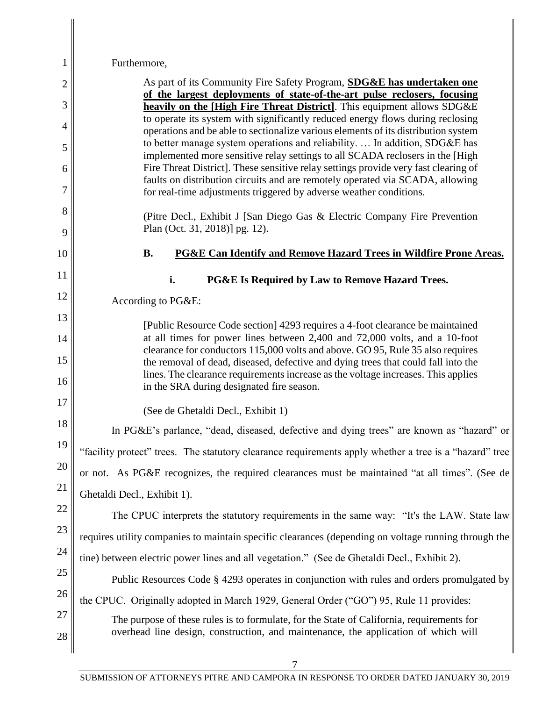| $\mathbf 1$ | Furthermore,                                                                                                                                                                                                        |
|-------------|---------------------------------------------------------------------------------------------------------------------------------------------------------------------------------------------------------------------|
| 2           | As part of its Community Fire Safety Program, <b>SDG&amp;E has undertaken one</b>                                                                                                                                   |
| 3           | of the largest deployments of state-of-the-art pulse reclosers, focusing<br>heavily on the [High Fire Threat District]. This equipment allows SDG&E                                                                 |
| 4           | to operate its system with significantly reduced energy flows during reclosing<br>operations and be able to sectionalize various elements of its distribution system                                                |
| 5           | to better manage system operations and reliability.  In addition, SDG&E has<br>implemented more sensitive relay settings to all SCADA reclosers in the [High                                                        |
| 6           | Fire Threat District]. These sensitive relay settings provide very fast clearing of                                                                                                                                 |
| 7           | faults on distribution circuits and are remotely operated via SCADA, allowing<br>for real-time adjustments triggered by adverse weather conditions.                                                                 |
| 8<br>9      | (Pitre Decl., Exhibit J [San Diego Gas & Electric Company Fire Prevention<br>Plan (Oct. 31, 2018)] pg. 12).                                                                                                         |
| 10          | <b>B.</b><br>PG&E Can Identify and Remove Hazard Trees in Wildfire Prone Areas.                                                                                                                                     |
| 11          |                                                                                                                                                                                                                     |
| 12          | i.<br>PG&E Is Required by Law to Remove Hazard Trees.                                                                                                                                                               |
| 13          | According to PG&E:                                                                                                                                                                                                  |
| 14          | [Public Resource Code section] 4293 requires a 4-foot clearance be maintained<br>at all times for power lines between 2,400 and 72,000 volts, and a 10-foot                                                         |
| 15          | clearance for conductors 115,000 volts and above. GO 95, Rule 35 also requires                                                                                                                                      |
| 16          | the removal of dead, diseased, defective and dying trees that could fall into the<br>lines. The clearance requirements increase as the voltage increases. This applies<br>in the SRA during designated fire season. |
| 17          | (See de Ghetaldi Decl., Exhibit 1)                                                                                                                                                                                  |
| 18          | In PG&E's parlance, "dead, diseased, defective and dying trees" are known as "hazard" or                                                                                                                            |
| 19          | "facility protect" trees. The statutory clearance requirements apply whether a tree is a "hazard" tree                                                                                                              |
| 20          | or not. As PG&E recognizes, the required clearances must be maintained "at all times". (See de                                                                                                                      |
| 21          | Ghetaldi Decl., Exhibit 1).                                                                                                                                                                                         |
| 22          | The CPUC interprets the statutory requirements in the same way: "It's the LAW. State law                                                                                                                            |
| 23          | requires utility companies to maintain specific clearances (depending on voltage running through the                                                                                                                |
| 24          | tine) between electric power lines and all vegetation." (See de Ghetaldi Decl., Exhibit 2).                                                                                                                         |
| 25          | Public Resources Code § 4293 operates in conjunction with rules and orders promulgated by                                                                                                                           |
| 26          | the CPUC. Originally adopted in March 1929, General Order ("GO") 95, Rule 11 provides:                                                                                                                              |
| 27          | The purpose of these rules is to formulate, for the State of California, requirements for                                                                                                                           |
| 28          | overhead line design, construction, and maintenance, the application of which will                                                                                                                                  |
|             |                                                                                                                                                                                                                     |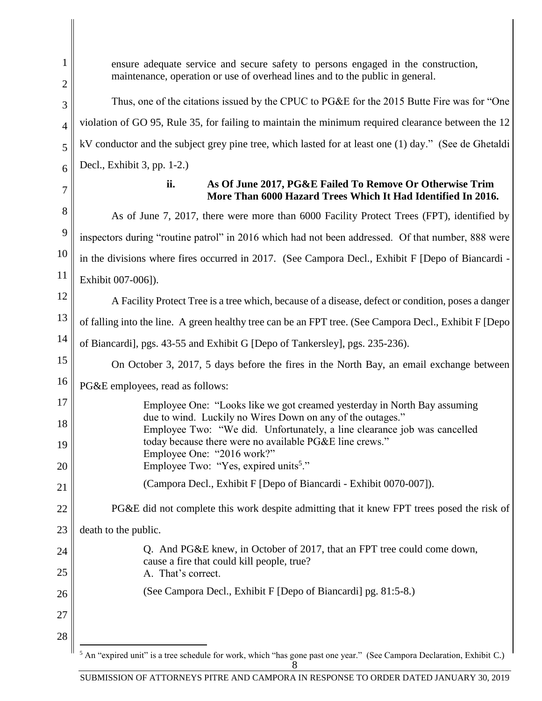25

26

27

28

ensure adequate service and secure safety to persons engaged in the construction, maintenance, operation or use of overhead lines and to the public in general.

Thus, one of the citations issued by the CPUC to PG&E for the 2015 Butte Fire was for "One violation of GO 95, Rule 35, for failing to maintain the minimum required clearance between the 12 kV conductor and the subject grey pine tree, which lasted for at least one (1) day." (See de Ghetaldi Decl., Exhibit 3, pp. 1-2.)

#### **ii. As Of June 2017, PG&E Failed To Remove Or Otherwise Trim More Than 6000 Hazard Trees Which It Had Identified In 2016.**

As of June 7, 2017, there were more than 6000 Facility Protect Trees (FPT), identified by inspectors during "routine patrol" in 2016 which had not been addressed. Of that number, 888 were in the divisions where fires occurred in 2017. (See Campora Decl., Exhibit F [Depo of Biancardi - Exhibit 007-006]).

A Facility Protect Tree is a tree which, because of a disease, defect or condition, poses a danger

of falling into the line. A green healthy tree can be an FPT tree. (See Campora Decl., Exhibit F [Depo

of Biancardi], pgs. 43-55 and Exhibit G [Depo of Tankersley], pgs. 235-236).

On October 3, 2017, 5 days before the fires in the North Bay, an email exchange between

### PG&E employees, read as follows:

| 17 | Employee One: "Looks like we got creamed yesterday in North Bay assuming                                                               |
|----|----------------------------------------------------------------------------------------------------------------------------------------|
| 18 | due to wind. Luckily no Wires Down on any of the outages."<br>Employee Two: "We did. Unfortunately, a line clearance job was cancelled |
| 19 | today because there were no available PG&E line crews."<br>Employee One: "2016 work?"                                                  |
| 20 | Employee Two: "Yes, expired units <sup>5</sup> ."                                                                                      |
| 21 | (Campora Decl., Exhibit F [Depo of Biancardi - Exhibit 0070-007]).                                                                     |

PG&E did not complete this work despite admitting that it knew FPT trees posed the risk of

death to the public.

Q. And PG&E knew, in October of 2017, that an FPT tree could come down, cause a fire that could kill people, true? A. That's correct.

(See Campora Decl., Exhibit F [Depo of Biancardi] pg. 81:5-8.)

8  $\overline{a}$ <sup>5</sup> An "expired unit" is a tree schedule for work, which "has gone past one year." (See Campora Declaration, Exhibit C.)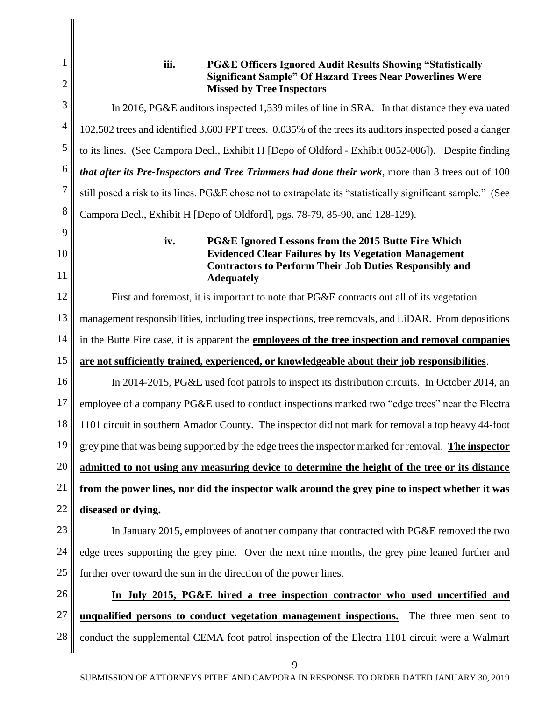1 2 3 4 5 6 7 8 9 10 11 12 13 14 15 16 17 18 19 20 21 22 23 24 25 26 27 28 **iii. PG&E Officers Ignored Audit Results Showing "Statistically Significant Sample" Of Hazard Trees Near Powerlines Were Missed by Tree Inspectors** In 2016, PG&E auditors inspected 1,539 miles of line in SRA. In that distance they evaluated 102,502 trees and identified 3,603 FPT trees. 0.035% of the trees its auditors inspected posed a danger to its lines. (See Campora Decl., Exhibit H [Depo of Oldford - Exhibit 0052-006]). Despite finding *that after its Pre-Inspectors and Tree Trimmers had done their work*, more than 3 trees out of 100 still posed a risk to its lines. PG&E chose not to extrapolate its "statistically significant sample." (See Campora Decl., Exhibit H [Depo of Oldford], pgs. 78-79, 85-90, and 128-129). **iv. PG&E Ignored Lessons from the 2015 Butte Fire Which Evidenced Clear Failures by Its Vegetation Management Contractors to Perform Their Job Duties Responsibly and Adequately** First and foremost, it is important to note that PG&E contracts out all of its vegetation management responsibilities, including tree inspections, tree removals, and LiDAR. From depositions in the Butte Fire case, it is apparent the **employees of the tree inspection and removal companies are not sufficiently trained, experienced, or knowledgeable about their job responsibilities**. In 2014-2015, PG&E used foot patrols to inspect its distribution circuits. In October 2014, an employee of a company PG&E used to conduct inspections marked two "edge trees" near the Electra 1101 circuit in southern Amador County. The inspector did not mark for removal a top heavy 44-foot grey pine that was being supported by the edge trees the inspector marked for removal. **The inspector admitted to not using any measuring device to determine the height of the tree or its distance from the power lines, nor did the inspector walk around the grey pine to inspect whether it was diseased or dying.** In January 2015, employees of another company that contracted with PG&E removed the two edge trees supporting the grey pine. Over the next nine months, the grey pine leaned further and further over toward the sun in the direction of the power lines. **In July 2015, PG&E hired a tree inspection contractor who used uncertified and unqualified persons to conduct vegetation management inspections.** The three men sent to conduct the supplemental CEMA foot patrol inspection of the Electra 1101 circuit were a Walmart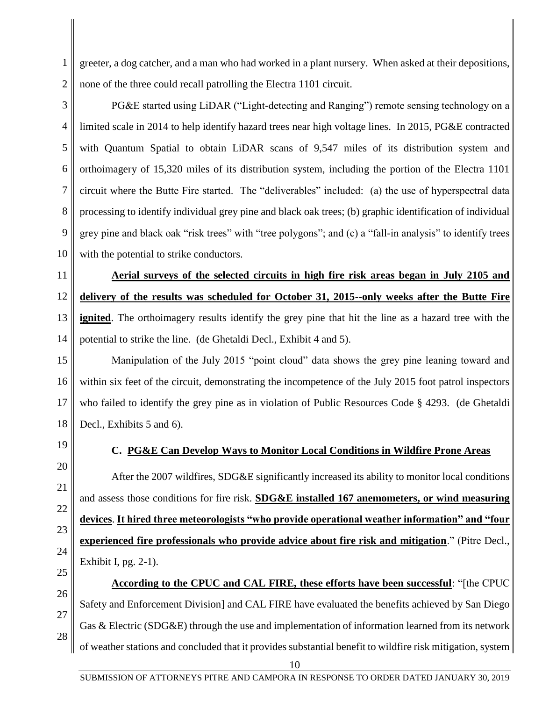greeter, a dog catcher, and a man who had worked in a plant nursery. When asked at their depositions, none of the three could recall patrolling the Electra 1101 circuit.

PG&E started using LiDAR ("Light-detecting and Ranging") remote sensing technology on a limited scale in 2014 to help identify hazard trees near high voltage lines. In 2015, PG&E contracted with Quantum Spatial to obtain LiDAR scans of 9,547 miles of its distribution system and orthoimagery of 15,320 miles of its distribution system, including the portion of the Electra 1101 circuit where the Butte Fire started. The "deliverables" included: (a) the use of hyperspectral data processing to identify individual grey pine and black oak trees; (b) graphic identification of individual grey pine and black oak "risk trees" with "tree polygons"; and (c) a "fall-in analysis" to identify trees with the potential to strike conductors.

11 12 13 14 **Aerial surveys of the selected circuits in high fire risk areas began in July 2105 and delivery of the results was scheduled for October 31, 2015--only weeks after the Butte Fire ignited**. The orthoimagery results identify the grey pine that hit the line as a hazard tree with the potential to strike the line. (de Ghetaldi Decl., Exhibit 4 and 5).

15 16 17 18 Manipulation of the July 2015 "point cloud" data shows the grey pine leaning toward and within six feet of the circuit, demonstrating the incompetence of the July 2015 foot patrol inspectors who failed to identify the grey pine as in violation of Public Resources Code § 4293. (de Ghetaldi Decl., Exhibits 5 and 6).

19 20

1

2

3

4

5

6

7

8

9

10

### **C. PG&E Can Develop Ways to Monitor Local Conditions in Wildfire Prone Areas**

After the 2007 wildfires, SDG&E significantly increased its ability to monitor local conditions and assess those conditions for fire risk. **SDG&E installed 167 anemometers, or wind measuring devices**. **It hired three meteorologists "who provide operational weather information" and "four experienced fire professionals who provide advice about fire risk and mitigation**." (Pitre Decl., Exhibit I, pg. 2-1).

**According to the CPUC and CAL FIRE, these efforts have been successful**: "[the CPUC Safety and Enforcement Division] and CAL FIRE have evaluated the benefits achieved by San Diego Gas & Electric (SDG&E) through the use and implementation of information learned from its network of weather stations and concluded that it provides substantial benefit to wildfire risk mitigation, system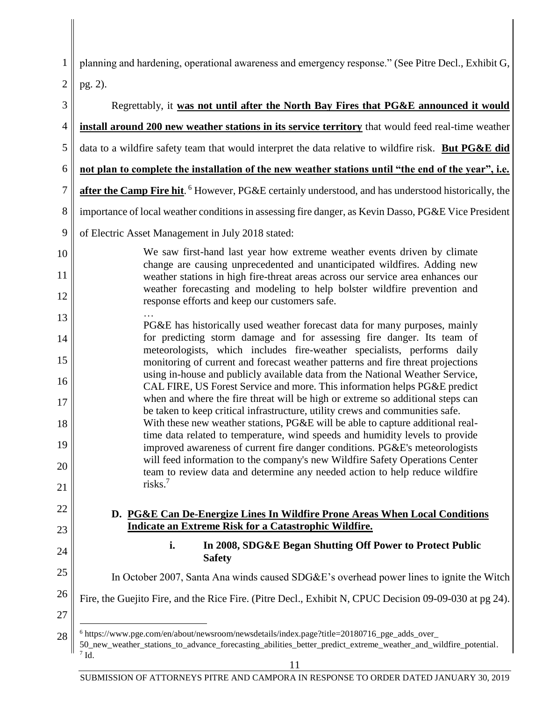1 | planning and hardening, operational awareness and emergency response." (See Pitre Decl., Exhibit G,  $2 \parallel$  pg. 2).

| 3                | Regrettably, it was not until after the North Bay Fires that PG&E announced it would                                                                                                                                         |
|------------------|------------------------------------------------------------------------------------------------------------------------------------------------------------------------------------------------------------------------------|
| 4                | install around 200 new weather stations in its service territory that would feed real-time weather                                                                                                                           |
| 5                | data to a wildfire safety team that would interpret the data relative to wildfire risk. But PG&E did                                                                                                                         |
| 6                | not plan to complete the installation of the new weather stations until "the end of the year", i.e.                                                                                                                          |
| $\boldsymbol{7}$ | after the Camp Fire hit. <sup>6</sup> However, PG&E certainly understood, and has understood historically, the                                                                                                               |
| 8                | importance of local weather conditions in assessing fire danger, as Kevin Dasso, PG&E Vice President                                                                                                                         |
| 9                | of Electric Asset Management in July 2018 stated:                                                                                                                                                                            |
| 10               | We saw first-hand last year how extreme weather events driven by climate<br>change are causing unprecedented and unanticipated wildfires. Adding new                                                                         |
| 11               | weather stations in high fire-threat areas across our service area enhances our                                                                                                                                              |
| 12               | weather forecasting and modeling to help bolster wildfire prevention and<br>response efforts and keep our customers safe.                                                                                                    |
| 13               | PG&E has historically used weather forecast data for many purposes, mainly                                                                                                                                                   |
| 14               | for predicting storm damage and for assessing fire danger. Its team of<br>meteorologists, which includes fire-weather specialists, performs daily                                                                            |
| 15               | monitoring of current and forecast weather patterns and fire threat projections                                                                                                                                              |
| 16               | using in-house and publicly available data from the National Weather Service,<br>CAL FIRE, US Forest Service and more. This information helps PG&E predict                                                                   |
| 17               | when and where the fire threat will be high or extreme so additional steps can<br>be taken to keep critical infrastructure, utility crews and communities safe.                                                              |
| 18               | With these new weather stations, PG&E will be able to capture additional real-<br>time data related to temperature, wind speeds and humidity levels to provide                                                               |
| 19               | improved awareness of current fire danger conditions. PG&E's meteorologists                                                                                                                                                  |
| 20               | will feed information to the company's new Wildfire Safety Operations Center<br>team to review data and determine any needed action to help reduce wildfire                                                                  |
| 21               | risks. <sup>7</sup>                                                                                                                                                                                                          |
| 22               | D. PG&E Can De-Energize Lines In Wildfire Prone Areas When Local Conditions                                                                                                                                                  |
| 23               | <b>Indicate an Extreme Risk for a Catastrophic Wildfire.</b>                                                                                                                                                                 |
| 24               | In 2008, SDG&E Began Shutting Off Power to Protect Public<br>i.<br><b>Safety</b>                                                                                                                                             |
| 25               | In October 2007, Santa Ana winds caused SDG&E's overhead power lines to ignite the Witch                                                                                                                                     |
| 26<br>27         | Fire, the Guejito Fire, and the Rice Fire. (Pitre Decl., Exhibit N, CPUC Decision 09-09-030 at pg 24).                                                                                                                       |
| 28               | $6$ https://www.pge.com/en/about/newsroom/newsdetails/index.page?title=20180716_pge_adds_over_<br>50_new_weather_stations_to_advance_forecasting_abilities_better_predict_extreme_weather_and_wildfire_potential.<br>$7$ Id. |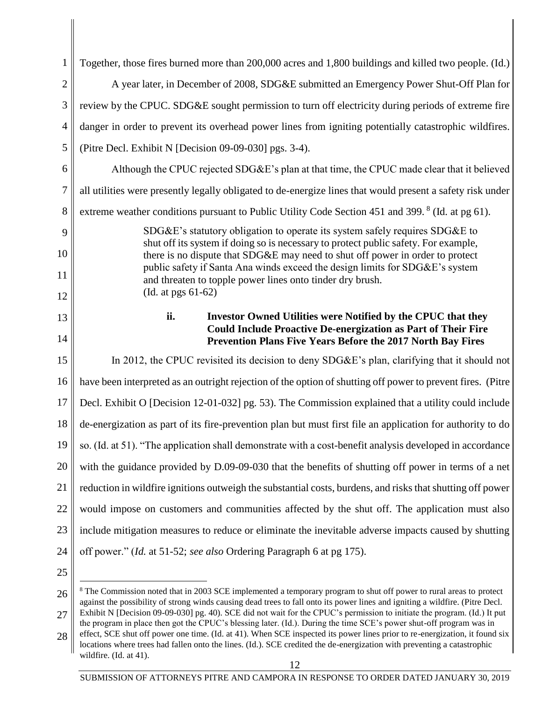| $\mathbf{1}$   | Together, those fires burned more than 200,000 acres and 1,800 buildings and killed two people. (Id.)                                                                |
|----------------|----------------------------------------------------------------------------------------------------------------------------------------------------------------------|
| $\overline{2}$ | A year later, in December of 2008, SDG&E submitted an Emergency Power Shut-Off Plan for                                                                              |
| 3              | review by the CPUC. SDG&E sought permission to turn off electricity during periods of extreme fire                                                                   |
| 4              | danger in order to prevent its overhead power lines from igniting potentially catastrophic wildfires.                                                                |
| 5              | (Pitre Decl. Exhibit N [Decision 09-09-030] pgs. 3-4).                                                                                                               |
| 6              | Although the CPUC rejected SDG&E's plan at that time, the CPUC made clear that it believed                                                                           |
| 7              | all utilities were presently legally obligated to de-energize lines that would present a safety risk under                                                           |
| 8              | extreme weather conditions pursuant to Public Utility Code Section 451 and 399. <sup>8</sup> (Id. at pg 61).                                                         |
| 9              | SDG&E's statutory obligation to operate its system safely requires SDG&E to                                                                                          |
| 10             | shut off its system if doing so is necessary to protect public safety. For example,<br>there is no dispute that SDG&E may need to shut off power in order to protect |
| 11             | public safety if Santa Ana winds exceed the design limits for SDG&E's system<br>and threaten to topple power lines onto tinder dry brush.                            |
| 12             | (Id. at pgs 61-62)                                                                                                                                                   |
| 13             | ii.<br><b>Investor Owned Utilities were Notified by the CPUC that they</b>                                                                                           |
| 14             | <b>Could Include Proactive De-energization as Part of Their Fire</b><br>Prevention Plans Five Years Before the 2017 North Bay Fires                                  |
| 15             | In 2012, the CPUC revisited its decision to deny SDG&E's plan, clarifying that it should not                                                                         |
| 16             | have been interpreted as an outright rejection of the option of shutting off power to prevent fires. (Pitre                                                          |
| 17             | Decl. Exhibit O [Decision 12-01-032] pg. 53). The Commission explained that a utility could include                                                                  |
| 18             | de-energization as part of its fire-prevention plan but must first file an application for authority to do                                                           |
| 19             | so. (Id. at 51). "The application shall demonstrate with a cost-benefit analysis developed in accordance                                                             |
| 20             | with the guidance provided by D.09-09-030 that the benefits of shutting off power in terms of a net                                                                  |
| 21             | reduction in wildfire ignitions outweigh the substantial costs, burdens, and risks that shutting off power                                                           |
| 22             | would impose on customers and communities affected by the shut off. The application must also                                                                        |
| 23             | include mitigation measures to reduce or eliminate the inevitable adverse impacts caused by shutting                                                                 |
| 24             | off power." (Id. at 51-52; see also Ordering Paragraph 6 at pg 175).                                                                                                 |
| 25             |                                                                                                                                                                      |
|                |                                                                                                                                                                      |

<sup>26</sup> l 27 <sup>8</sup> The Commission noted that in 2003 SCE implemented a temporary program to shut off power to rural areas to protect against the possibility of strong winds causing dead trees to fall onto its power lines and igniting a wildfire. (Pitre Decl. Exhibit N [Decision 09-09-030] pg. 40). SCE did not wait for the CPUC's permission to initiate the program. (Id.) It put the program in place then got the CPUC's blessing later. (Id.). During the time SCE's power shut-off program was in

<sup>28</sup> effect, SCE shut off power one time. (Id. at 41). When SCE inspected its power lines prior to re-energization, it found six locations where trees had fallen onto the lines. (Id.). SCE credited the de-energization with preventing a catastrophic wildfire. (Id. at 41).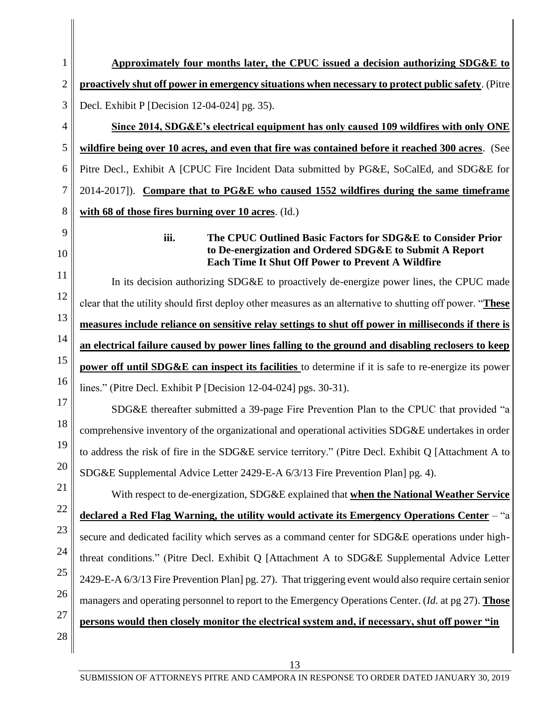| 1              | Approximately four months later, the CPUC issued a decision authorizing SDG&E to                                                                                                           |
|----------------|--------------------------------------------------------------------------------------------------------------------------------------------------------------------------------------------|
| $\overline{2}$ | proactively shut off power in emergency situations when necessary to protect public safety. (Pitre                                                                                         |
| 3              | Decl. Exhibit P [Decision 12-04-024] pg. 35).                                                                                                                                              |
| $\overline{4}$ | Since 2014, SDG&E's electrical equipment has only caused 109 wildfires with only ONE                                                                                                       |
| 5              | wildfire being over 10 acres, and even that fire was contained before it reached 300 acres. (See                                                                                           |
| 6              | Pitre Decl., Exhibit A [CPUC Fire Incident Data submitted by PG&E, SoCalEd, and SDG&E for                                                                                                  |
| 7              | 2014-2017]). Compare that to PG&E who caused 1552 wildfires during the same timeframe                                                                                                      |
| 8              | with 68 of those fires burning over 10 acres. (Id.)                                                                                                                                        |
| 9<br>10        | iii.<br>The CPUC Outlined Basic Factors for SDG&E to Consider Prior<br>to De-energization and Ordered SDG&E to Submit A Report<br><b>Each Time It Shut Off Power to Prevent A Wildfire</b> |
| 11             | In its decision authorizing SDG&E to proactively de-energize power lines, the CPUC made                                                                                                    |
| 12             | clear that the utility should first deploy other measures as an alternative to shutting off power. "These                                                                                  |
| 13             | measures include reliance on sensitive relay settings to shut off power in milliseconds if there is                                                                                        |
| 14             | an electrical failure caused by power lines falling to the ground and disabling reclosers to keep                                                                                          |
| 15             | <b>power off until SDG&amp;E can inspect its facilities</b> to determine if it is safe to re-energize its power                                                                            |
| 16             | lines." (Pitre Decl. Exhibit P [Decision 12-04-024] pgs. 30-31).                                                                                                                           |
| 17             | SDG&E thereafter submitted a 39-page Fire Prevention Plan to the CPUC that provided "a                                                                                                     |
| 18             | comprehensive inventory of the organizational and operational activities SDG&E undertakes in order                                                                                         |
| 19             | to address the risk of fire in the SDG&E service territory." (Pitre Decl. Exhibit Q [Attachment A to                                                                                       |
| 20             | SDG&E Supplemental Advice Letter 2429-E-A 6/3/13 Fire Prevention Plan] pg. 4).                                                                                                             |
| 21             | With respect to de-energization, SDG&E explained that when the National Weather Service                                                                                                    |
| 22             | declared a Red Flag Warning, the utility would activate its Emergency Operations Center – "a                                                                                               |
| 23             | secure and dedicated facility which serves as a command center for SDG&E operations under high-                                                                                            |
| 24             | threat conditions." (Pitre Decl. Exhibit Q [Attachment A to SDG&E Supplemental Advice Letter                                                                                               |
| 25             | 2429-E-A 6/3/13 Fire Prevention Plan] pg. 27). That triggering event would also require certain senior                                                                                     |
| 26             | managers and operating personnel to report to the Emergency Operations Center. (Id. at pg 27). Those                                                                                       |
| 27             | persons would then closely monitor the electrical system and, if necessary, shut off power "in                                                                                             |
| 28             |                                                                                                                                                                                            |

 $\mathbb{I}$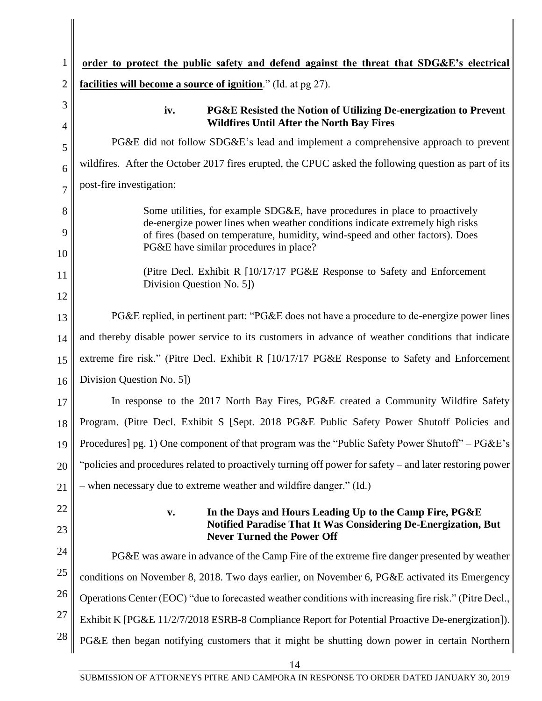| $\mathbf 1$    | order to protect the public safety and defend against the threat that SDG&E's electrical                                                                                                                                                                                               |
|----------------|----------------------------------------------------------------------------------------------------------------------------------------------------------------------------------------------------------------------------------------------------------------------------------------|
| $\overline{2}$ | <b>facilities will become a source of ignition</b> ." (Id. at pg 27).                                                                                                                                                                                                                  |
| 3<br>4         | iv.<br><b>PG&amp;E Resisted the Notion of Utilizing De-energization to Prevent</b><br><b>Wildfires Until After the North Bay Fires</b>                                                                                                                                                 |
| 5              | PG&E did not follow SDG&E's lead and implement a comprehensive approach to prevent                                                                                                                                                                                                     |
| 6              | wildfires. After the October 2017 fires erupted, the CPUC asked the following question as part of its                                                                                                                                                                                  |
| $\overline{7}$ | post-fire investigation:                                                                                                                                                                                                                                                               |
| 8<br>9         | Some utilities, for example SDG&E, have procedures in place to proactively<br>de-energize power lines when weather conditions indicate extremely high risks<br>of fires (based on temperature, humidity, wind-speed and other factors). Does<br>PG&E have similar procedures in place? |
| 10<br>11<br>12 | (Pitre Decl. Exhibit R $[10/17/17 \text{ PG\&E}$ Response to Safety and Enforcement<br>Division Question No. 5])                                                                                                                                                                       |
| 13             | PG&E replied, in pertinent part: "PG&E does not have a procedure to de-energize power lines                                                                                                                                                                                            |
| 14             | and thereby disable power service to its customers in advance of weather conditions that indicate                                                                                                                                                                                      |
| 15             | extreme fire risk." (Pitre Decl. Exhibit R [10/17/17 PG&E Response to Safety and Enforcement                                                                                                                                                                                           |
| 16             | Division Question No. 5])                                                                                                                                                                                                                                                              |
| 17             | In response to the 2017 North Bay Fires, PG&E created a Community Wildfire Safety                                                                                                                                                                                                      |
| 18             | Program. (Pitre Decl. Exhibit S [Sept. 2018 PG&E Public Safety Power Shutoff Policies and                                                                                                                                                                                              |
| 19             | Procedures] pg. 1) One component of that program was the "Public Safety Power Shutoff" – PG&E's                                                                                                                                                                                        |
| 20             | "policies and procedures related to proactively turning off power for safety – and later restoring power                                                                                                                                                                               |
| 21             | - when necessary due to extreme weather and wildfire danger." (Id.)                                                                                                                                                                                                                    |
| 22<br>23       | In the Days and Hours Leading Up to the Camp Fire, PG&E<br>V.<br><b>Notified Paradise That It Was Considering De-Energization, But</b><br><b>Never Turned the Power Off</b>                                                                                                            |
| 24             | PG&E was aware in advance of the Camp Fire of the extreme fire danger presented by weather                                                                                                                                                                                             |
| 25             | conditions on November 8, 2018. Two days earlier, on November 6, PG&E activated its Emergency                                                                                                                                                                                          |
| 26             | Operations Center (EOC) "due to forecasted weather conditions with increasing fire risk." (Pitre Decl.,                                                                                                                                                                                |
| 27             | Exhibit K [PG&E 11/2/7/2018 ESRB-8 Compliance Report for Potential Proactive De-energization]).                                                                                                                                                                                        |
| 28             | PG&E then began notifying customers that it might be shutting down power in certain Northern                                                                                                                                                                                           |

 $\begin{array}{c} \hline \end{array}$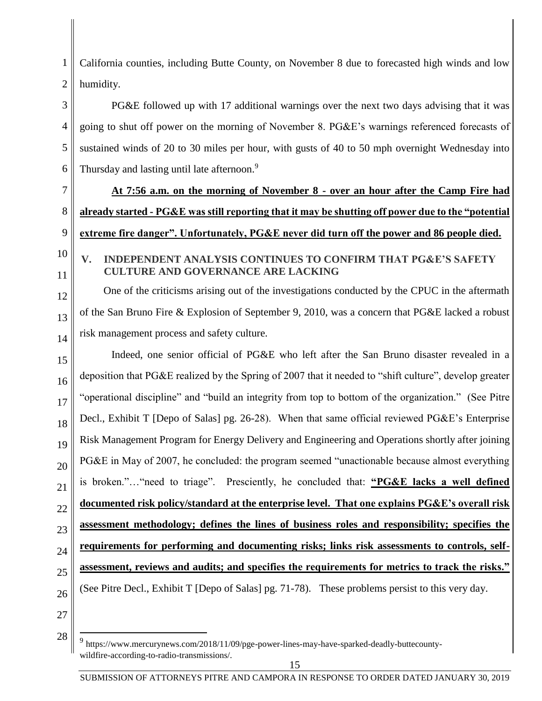1 2 California counties, including Butte County, on November 8 due to forecasted high winds and low humidity.

# PG&E followed up with 17 additional warnings over the next two days advising that it was going to shut off power on the morning of November 8. PG&E's warnings referenced forecasts of sustained winds of 20 to 30 miles per hour, with gusts of 40 to 50 mph overnight Wednesday into Thursday and lasting until late afternoon.<sup>9</sup>

**At 7:56 a.m. on the morning of November 8 - over an hour after the Camp Fire had already started - PG&E was still reporting that it may be shutting off power due to the "potential extreme fire danger". Unfortunately, PG&E never did turn off the power and 86 people died.** 

# **V. INDEPENDENT ANALYSIS CONTINUES TO CONFIRM THAT PG&E'S SAFETY CULTURE AND GOVERNANCE ARE LACKING**

One of the criticisms arising out of the investigations conducted by the CPUC in the aftermath of the San Bruno Fire & Explosion of September 9, 2010, was a concern that PG&E lacked a robust risk management process and safety culture.

15 16 17 18 19 20 21 22 23 24 25 26 Indeed, one senior official of PG&E who left after the San Bruno disaster revealed in a deposition that PG&E realized by the Spring of 2007 that it needed to "shift culture", develop greater "operational discipline" and "build an integrity from top to bottom of the organization." (See Pitre Decl., Exhibit T [Depo of Salas] pg. 26-28). When that same official reviewed PG&E's Enterprise Risk Management Program for Energy Delivery and Engineering and Operations shortly after joining PG&E in May of 2007, he concluded: the program seemed "unactionable because almost everything is broken."…"need to triage". Presciently, he concluded that: **"PG&E lacks a well defined documented risk policy/standard at the enterprise level. That one explains PG&E's overall risk assessment methodology; defines the lines of business roles and responsibility; specifies the requirements for performing and documenting risks; links risk assessments to controls, selfassessment, reviews and audits; and specifies the requirements for metrics to track the risks."** (See Pitre Decl., Exhibit T [Depo of Salas] pg. 71-78). These problems persist to this very day.

27 28

 $\overline{a}$ 

3

4

5

6

7

8

9

10

11

12

13

<sup>9</sup> https://www.mercurynews.com/2018/11/09/pge-power-lines-may-have-sparked-deadly-buttecountywildfire-according-to-radio-transmissions/.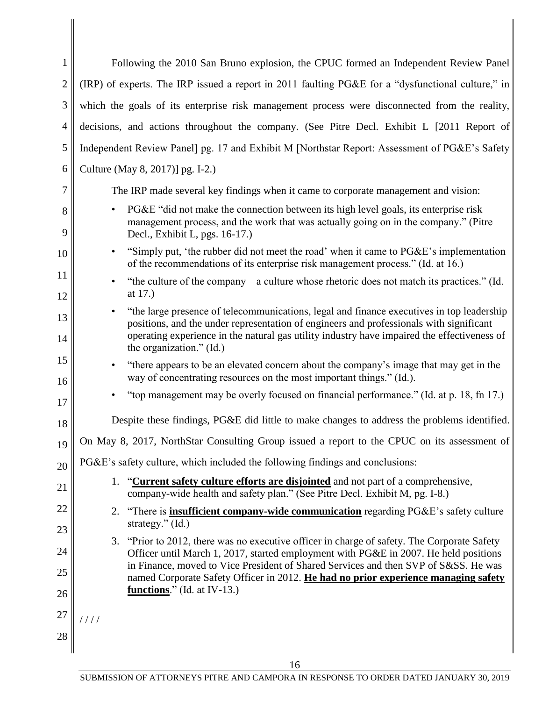| $\mathbf{1}$   | Following the 2010 San Bruno explosion, the CPUC formed an Independent Review Panel                                                                                                                                                                                                                                          |  |  |  |  |  |
|----------------|------------------------------------------------------------------------------------------------------------------------------------------------------------------------------------------------------------------------------------------------------------------------------------------------------------------------------|--|--|--|--|--|
| $\overline{2}$ | (IRP) of experts. The IRP issued a report in 2011 faulting PG&E for a "dysfunctional culture," in                                                                                                                                                                                                                            |  |  |  |  |  |
| 3              | which the goals of its enterprise risk management process were disconnected from the reality,                                                                                                                                                                                                                                |  |  |  |  |  |
| 4              | decisions, and actions throughout the company. (See Pitre Decl. Exhibit L [2011 Report of                                                                                                                                                                                                                                    |  |  |  |  |  |
| 5              | Independent Review Panel] pg. 17 and Exhibit M [Northstar Report: Assessment of PG&E's Safety                                                                                                                                                                                                                                |  |  |  |  |  |
| 6              | Culture (May 8, 2017)] pg. I-2.)                                                                                                                                                                                                                                                                                             |  |  |  |  |  |
| 7              | The IRP made several key findings when it came to corporate management and vision:                                                                                                                                                                                                                                           |  |  |  |  |  |
| 8<br>9         | PG&E "did not make the connection between its high level goals, its enterprise risk<br>$\bullet$<br>management process, and the work that was actually going on in the company." (Pitre<br>Decl., Exhibit L, pgs. 16-17.)                                                                                                    |  |  |  |  |  |
| 10             | "Simply put, 'the rubber did not meet the road' when it came to PG&E's implementation<br>$\bullet$<br>of the recommendations of its enterprise risk management process." (Id. at 16.)                                                                                                                                        |  |  |  |  |  |
| 11<br>12       | "the culture of the company – a culture whose rhetoric does not match its practices." (Id.<br>$\bullet$<br>at 17.)                                                                                                                                                                                                           |  |  |  |  |  |
| 13<br>14       | "the large presence of telecommunications, legal and finance executives in top leadership<br>$\bullet$<br>positions, and the under representation of engineers and professionals with significant<br>operating experience in the natural gas utility industry have impaired the effectiveness of<br>the organization." (Id.) |  |  |  |  |  |
| 15<br>16       | "there appears to be an elevated concern about the company's image that may get in the<br>way of concentrating resources on the most important things." (Id.).                                                                                                                                                               |  |  |  |  |  |
| 17             | "top management may be overly focused on financial performance." (Id. at p. 18, fn 17.)                                                                                                                                                                                                                                      |  |  |  |  |  |
| 18             | Despite these findings, PG&E did little to make changes to address the problems identified.                                                                                                                                                                                                                                  |  |  |  |  |  |
| 19             | On May 8, 2017, NorthStar Consulting Group issued a report to the CPUC on its assessment of                                                                                                                                                                                                                                  |  |  |  |  |  |
| 20             | PG&E's safety culture, which included the following findings and conclusions:                                                                                                                                                                                                                                                |  |  |  |  |  |
| 21             | "Current safety culture efforts are disjointed and not part of a comprehensive,<br>1.<br>company-wide health and safety plan." (See Pitre Decl. Exhibit M, pg. I-8.)                                                                                                                                                         |  |  |  |  |  |
| 22             | 2. "There is <b>insufficient company-wide communication</b> regarding PG&E's safety culture                                                                                                                                                                                                                                  |  |  |  |  |  |
| 23             | strategy." $(Id.)$<br>3. "Prior to 2012, there was no executive officer in charge of safety. The Corporate Safety                                                                                                                                                                                                            |  |  |  |  |  |
| 24             | Officer until March 1, 2017, started employment with PG&E in 2007. He held positions                                                                                                                                                                                                                                         |  |  |  |  |  |
| 25             | in Finance, moved to Vice President of Shared Services and then SVP of S&SS. He was<br>named Corporate Safety Officer in 2012. He had no prior experience managing safety                                                                                                                                                    |  |  |  |  |  |
| 26             | functions." (Id. at IV-13.)                                                                                                                                                                                                                                                                                                  |  |  |  |  |  |
| 27             | 1111                                                                                                                                                                                                                                                                                                                         |  |  |  |  |  |
| 28             |                                                                                                                                                                                                                                                                                                                              |  |  |  |  |  |

 $\begin{array}{c} \hline \end{array}$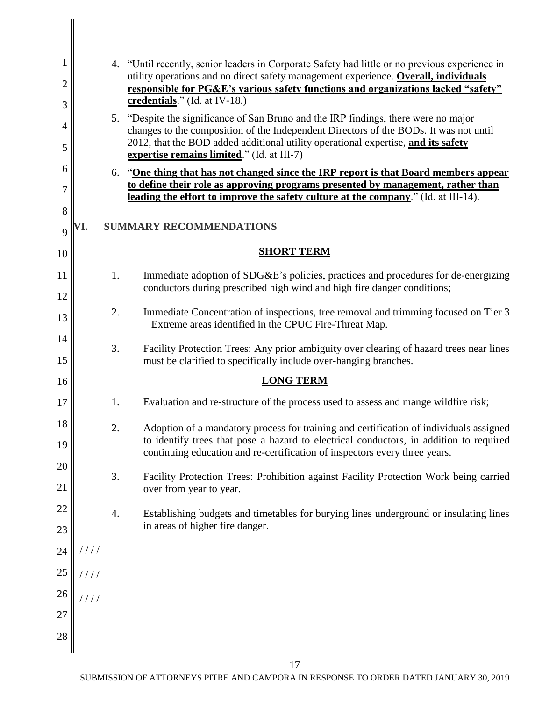| 1      |                                                                                                                                                                          | 4. "Until recently, senior leaders in Corporate Safety had little or no previous experience in                                                                                                                           |  |  |  |  |  |  |
|--------|--------------------------------------------------------------------------------------------------------------------------------------------------------------------------|--------------------------------------------------------------------------------------------------------------------------------------------------------------------------------------------------------------------------|--|--|--|--|--|--|
| 2      | utility operations and no direct safety management experience. Overall, individuals<br>responsible for PG&E's various safety functions and organizations lacked "safety" |                                                                                                                                                                                                                          |  |  |  |  |  |  |
| 3      | credentials." $(Id. at IV-18.)$                                                                                                                                          |                                                                                                                                                                                                                          |  |  |  |  |  |  |
| 4      |                                                                                                                                                                          | 5. "Despite the significance of San Bruno and the IRP findings, there were no major                                                                                                                                      |  |  |  |  |  |  |
| 5      |                                                                                                                                                                          | changes to the composition of the Independent Directors of the BODs. It was not until<br>2012, that the BOD added additional utility operational expertise, and its safety<br>expertise remains limited." (Id. at III-7) |  |  |  |  |  |  |
| 6      |                                                                                                                                                                          | 6. "One thing that has not changed since the IRP report is that Board members appear                                                                                                                                     |  |  |  |  |  |  |
| 7      | to define their role as approving programs presented by management, rather than<br>leading the effort to improve the safety culture at the company." (Id. at III-14).    |                                                                                                                                                                                                                          |  |  |  |  |  |  |
| 8      |                                                                                                                                                                          |                                                                                                                                                                                                                          |  |  |  |  |  |  |
| 9      |                                                                                                                                                                          | <b>SUMMARY RECOMMENDATIONS</b>                                                                                                                                                                                           |  |  |  |  |  |  |
| 10     |                                                                                                                                                                          | <b>SHORT TERM</b>                                                                                                                                                                                                        |  |  |  |  |  |  |
| 11     | 1.                                                                                                                                                                       | Immediate adoption of SDG&E's policies, practices and procedures for de-energizing                                                                                                                                       |  |  |  |  |  |  |
| 12     |                                                                                                                                                                          | conductors during prescribed high wind and high fire danger conditions;                                                                                                                                                  |  |  |  |  |  |  |
| 13     | 2.                                                                                                                                                                       | Immediate Concentration of inspections, tree removal and trimming focused on Tier 3<br>- Extreme areas identified in the CPUC Fire-Threat Map.                                                                           |  |  |  |  |  |  |
| 14     | 3.                                                                                                                                                                       | Facility Protection Trees: Any prior ambiguity over clearing of hazard trees near lines                                                                                                                                  |  |  |  |  |  |  |
| 15     |                                                                                                                                                                          | must be clarified to specifically include over-hanging branches.                                                                                                                                                         |  |  |  |  |  |  |
| 16     |                                                                                                                                                                          | <b>LONG TERM</b>                                                                                                                                                                                                         |  |  |  |  |  |  |
| 17     | 1.                                                                                                                                                                       | Evaluation and re-structure of the process used to assess and mange wildfire risk;                                                                                                                                       |  |  |  |  |  |  |
| 18     | 2.                                                                                                                                                                       | Adoption of a mandatory process for training and certification of individuals assigned                                                                                                                                   |  |  |  |  |  |  |
| 19     |                                                                                                                                                                          | to identify trees that pose a hazard to electrical conductors, in addition to required<br>continuing education and re-certification of inspectors every three years.                                                     |  |  |  |  |  |  |
| 20     |                                                                                                                                                                          |                                                                                                                                                                                                                          |  |  |  |  |  |  |
| 21     | 3.                                                                                                                                                                       | Facility Protection Trees: Prohibition against Facility Protection Work being carried<br>over from year to year.                                                                                                         |  |  |  |  |  |  |
| 22     |                                                                                                                                                                          |                                                                                                                                                                                                                          |  |  |  |  |  |  |
| 23     | 4.                                                                                                                                                                       | Establishing budgets and timetables for burying lines underground or insulating lines<br>in areas of higher fire danger.                                                                                                 |  |  |  |  |  |  |
| 24     | 1111                                                                                                                                                                     |                                                                                                                                                                                                                          |  |  |  |  |  |  |
| $25\,$ | 1111                                                                                                                                                                     |                                                                                                                                                                                                                          |  |  |  |  |  |  |
| $26\,$ | $\frac{1}{1}$                                                                                                                                                            |                                                                                                                                                                                                                          |  |  |  |  |  |  |
| $27\,$ |                                                                                                                                                                          |                                                                                                                                                                                                                          |  |  |  |  |  |  |
| 28     |                                                                                                                                                                          |                                                                                                                                                                                                                          |  |  |  |  |  |  |
|        |                                                                                                                                                                          |                                                                                                                                                                                                                          |  |  |  |  |  |  |